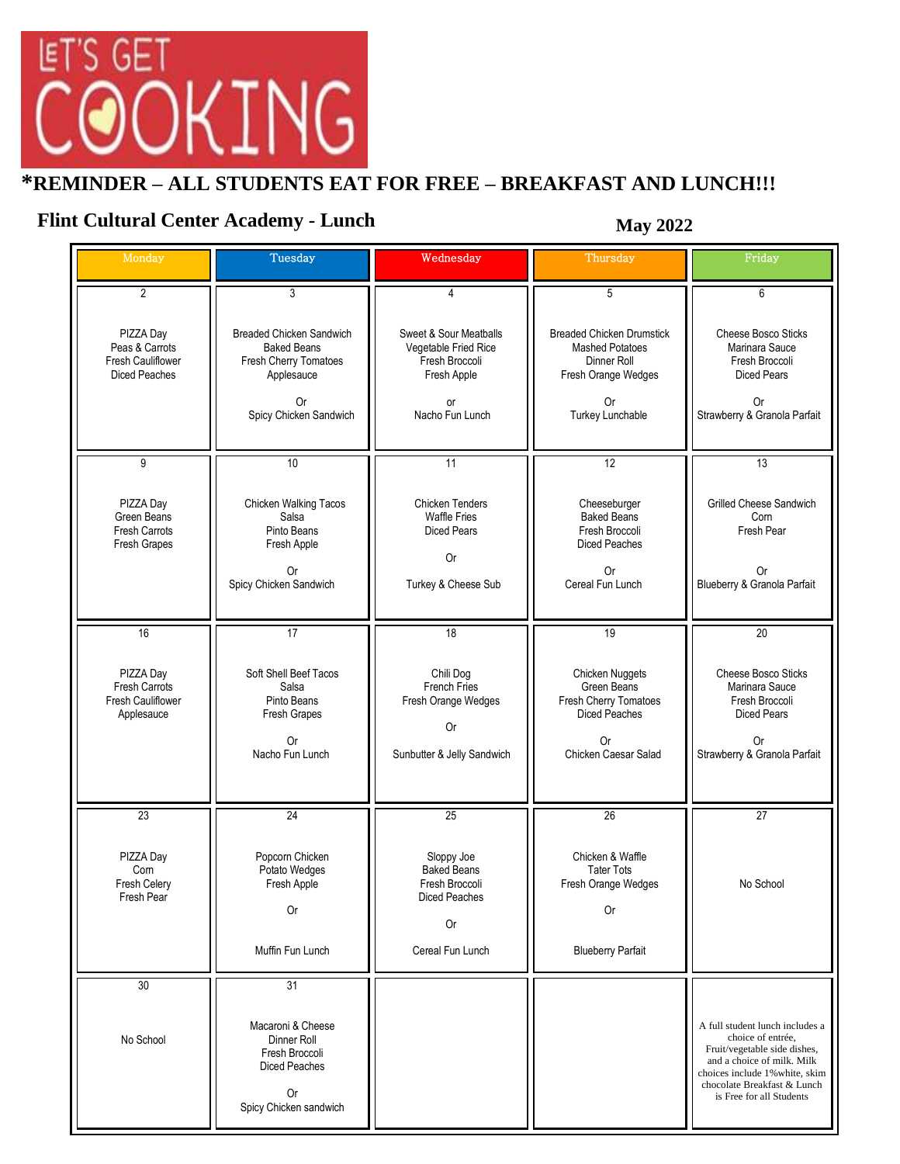

## **\*REMINDER – ALL STUDENTS EAT FOR FREE – BREAKFAST AND LUNCH!!!**

## **Flint Cultural Center Academy - Lunch May 2022**

| Monday                                                                   | Tuesday                                                                                                                      | Wednesday                                                                                                | Thursday                                                                                                                   | Friday                                                                                                                                                                                                          |
|--------------------------------------------------------------------------|------------------------------------------------------------------------------------------------------------------------------|----------------------------------------------------------------------------------------------------------|----------------------------------------------------------------------------------------------------------------------------|-----------------------------------------------------------------------------------------------------------------------------------------------------------------------------------------------------------------|
| $\overline{2}$                                                           | 3                                                                                                                            | 4                                                                                                        | 5                                                                                                                          | 6                                                                                                                                                                                                               |
| PIZZA Day<br>Peas & Carrots<br>Fresh Cauliflower<br><b>Diced Peaches</b> | Breaded Chicken Sandwich<br><b>Baked Beans</b><br>Fresh Cherry Tomatoes<br>Applesauce<br><b>Or</b><br>Spicy Chicken Sandwich | Sweet & Sour Meatballs<br>Vegetable Fried Rice<br>Fresh Broccoli<br>Fresh Apple<br>or<br>Nacho Fun Lunch | <b>Breaded Chicken Drumstick</b><br><b>Mashed Potatoes</b><br>Dinner Roll<br>Fresh Orange Wedges<br>0r<br>Turkey Lunchable | Cheese Bosco Sticks<br>Marinara Sauce<br>Fresh Broccoli<br><b>Diced Pears</b><br><b>Or</b><br>Strawberry & Granola Parfait                                                                                      |
| 9                                                                        | 10                                                                                                                           | 11                                                                                                       | $\overline{12}$                                                                                                            | 13                                                                                                                                                                                                              |
| PIZZA Day<br>Green Beans<br>Fresh Carrots<br>Fresh Grapes                | Chicken Walking Tacos<br>Salsa<br>Pinto Beans<br>Fresh Apple<br>0r<br>Spicy Chicken Sandwich                                 | <b>Chicken Tenders</b><br><b>Waffle Fries</b><br><b>Diced Pears</b><br>0r<br>Turkey & Cheese Sub         | Cheeseburger<br><b>Baked Beans</b><br>Fresh Broccoli<br>Diced Peaches<br><b>Or</b><br>Cereal Fun Lunch                     | Grilled Cheese Sandwich<br>Corn<br>Fresh Pear<br>0r<br>Blueberry & Granola Parfait                                                                                                                              |
| 16                                                                       | $\overline{17}$                                                                                                              | $\overline{18}$                                                                                          | 19                                                                                                                         | 20                                                                                                                                                                                                              |
| PIZZA Day<br><b>Fresh Carrots</b><br>Fresh Cauliflower<br>Applesauce     | Soft Shell Beef Tacos<br>Salsa<br>Pinto Beans<br>Fresh Grapes<br>0r<br>Nacho Fun Lunch                                       | Chili Dog<br>French Fries<br>Fresh Orange Wedges<br>0r<br>Sunbutter & Jelly Sandwich                     | <b>Chicken Nuggets</b><br>Green Beans<br>Fresh Cherry Tomatoes<br><b>Diced Peaches</b><br>0r<br>Chicken Caesar Salad       | Cheese Bosco Sticks<br>Marinara Sauce<br>Fresh Broccoli<br><b>Diced Pears</b><br>0r<br>Strawberry & Granola Parfait                                                                                             |
| $\overline{23}$                                                          | $\overline{24}$                                                                                                              | 25                                                                                                       | 26                                                                                                                         | 27                                                                                                                                                                                                              |
| PIZZA Day<br>Com<br>Fresh Celery<br>Fresh Pear                           | Popcorn Chicken<br>Potato Wedges<br>Fresh Apple<br>0r                                                                        | Sloppy Joe<br><b>Baked Beans</b><br>Fresh Broccoli<br>Diced Peaches<br>0r                                | Chicken & Waffle<br><b>Tater Tots</b><br>Fresh Orange Wedges<br><b>Or</b>                                                  | No School                                                                                                                                                                                                       |
|                                                                          | Muffin Fun Lunch                                                                                                             | Cereal Fun Lunch                                                                                         | <b>Blueberry Parfait</b>                                                                                                   |                                                                                                                                                                                                                 |
| 30<br>No School                                                          | 31<br>Macaroni & Cheese<br>Dinner Roll<br>Fresh Broccoli<br><b>Diced Peaches</b><br><b>Or</b><br>Spicy Chicken sandwich      |                                                                                                          |                                                                                                                            | A full student lunch includes a<br>choice of entrée,<br>Fruit/vegetable side dishes,<br>and a choice of milk. Milk<br>choices include 1% white, skim<br>chocolate Breakfast & Lunch<br>is Free for all Students |